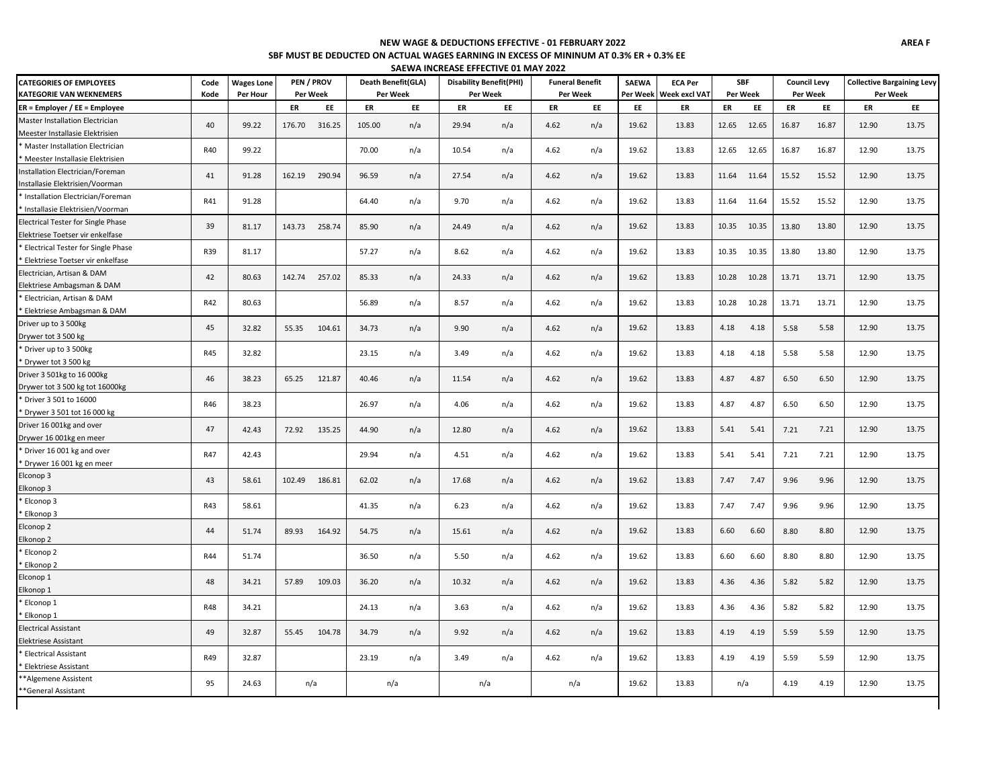#### **SBF MUST BE DEDUCTED ON ACTUAL WAGES EARNING IN EXCESS OF MININUM AT 0.3% ER + 0.3% EE NEW WAGE & DEDUCTIONS EFFECTIVE - 01 FEBRUARY 2022**

| SAEWA INCREASE EFFECTIVE 01 MAY 2022 |  |
|--------------------------------------|--|

| <b>CATEGORIES OF EMPLOYEES</b>     | Code       | <b>Wages Lone</b> | PEN / PROV |        | Death Benefit(GLA) |     | <b>Disability Benefit(PHI)</b> |          | <b>Funeral Benefit</b> |          | <b>SAEWA</b><br><b>ECA Per</b> |                      | <b>SBF</b> |       | <b>Council Levy</b> |       | <b>Collective Bargaining Levy</b> |       |
|------------------------------------|------------|-------------------|------------|--------|--------------------|-----|--------------------------------|----------|------------------------|----------|--------------------------------|----------------------|------------|-------|---------------------|-------|-----------------------------------|-------|
| <b>KATEGORIE VAN WEKNEMERS</b>     | Kode       | Per Hour          | Per Week   |        | Per Week           |     |                                | Per Week |                        | Per Week | Per Week                       | <b>Week excl VAT</b> | Per Week   |       | Per Week            |       | Per Week                          |       |
| ER = Employer / EE = Employee      |            |                   | ER         | EE     | ER                 | EE  | ER                             | EE       | ER                     | EE       | EE                             | ER                   | ER         | EE    | ER                  | EE    | ER                                | EE    |
| Master Installation Electrician    | 40         | 99.22             | 176.70     | 316.25 | 105.00             | n/a | 29.94                          | n/a      | 4.62                   | n/a      | 19.62                          | 13.83                | 12.65      | 12.65 | 16.87               | 16.87 | 12.90                             | 13.75 |
| Meester Installasie Elektrisien    |            |                   |            |        |                    |     |                                |          |                        |          |                                |                      |            |       |                     |       |                                   |       |
| Master Installation Electrician    | R40        | 99.22             |            |        | 70.00              | n/a | 10.54                          | n/a      | 4.62                   | n/a      | 19.62                          | 13.83                | 12.65      | 12.65 | 16.87               | 16.87 | 12.90                             | 13.75 |
| Meester Installasie Elektrisien    |            |                   |            |        |                    |     |                                |          |                        |          |                                |                      |            |       |                     |       |                                   |       |
| Installation Electrician/Foreman   | 41         | 91.28             | 162.19     | 290.94 | 96.59              | n/a | 27.54                          | n/a      | 4.62                   | n/a      | 19.62                          | 13.83                | 11.64      | 11.64 | 15.52               | 15.52 | 12.90                             | 13.75 |
| Installasie Elektrisien/Voorman    |            |                   |            |        |                    |     |                                |          |                        |          |                                |                      |            |       |                     |       |                                   |       |
| Installation Electrician/Foreman   | R41        | 91.28             |            |        | 64.40              | n/a | 9.70                           | n/a      | 4.62                   | n/a      | 19.62                          | 13.83                | 11.64      | 11.64 | 15.52               | 15.52 | 12.90                             | 13.75 |
| Installasie Elektrisien/Voorman    |            |                   |            |        |                    |     |                                |          |                        |          |                                |                      |            |       |                     |       |                                   |       |
| Electrical Tester for Single Phase | 39         | 81.17             | 143.73     | 258.74 | 85.90              | n/a | 24.49                          | n/a      | 4.62                   | n/a      | 19.62                          | 13.83                | 10.35      | 10.35 | 13.80               | 13.80 | 12.90                             | 13.75 |
| Elektriese Toetser vir enkelfase   |            |                   |            |        |                    |     |                                |          |                        |          |                                |                      |            |       |                     |       |                                   |       |
| Electrical Tester for Single Phase | R39        | 81.17             |            |        | 57.27              | n/a | 8.62                           | n/a      | 4.62                   | n/a      | 19.62                          | 13.83                | 10.35      | 10.35 | 13.80               | 13.80 | 12.90                             | 13.75 |
| Elektriese Toetser vir enkelfase   |            |                   |            |        |                    |     |                                |          |                        |          |                                |                      |            |       |                     |       |                                   |       |
| Electrician, Artisan & DAM         | 42         | 80.63             | 142.74     | 257.02 | 85.33              | n/a | 24.33                          | n/a      | 4.62                   | n/a      | 19.62                          | 13.83                | 10.28      | 10.28 | 13.71               | 13.71 | 12.90                             | 13.75 |
| Elektriese Ambagsman & DAM         |            |                   |            |        |                    |     |                                |          |                        |          |                                |                      |            |       |                     |       |                                   |       |
| Electrician, Artisan & DAM         | R42        | 80.63             |            |        | 56.89              | n/a | 8.57                           | n/a      | 4.62                   | n/a      | 19.62                          | 13.83                | 10.28      | 10.28 | 13.71               | 13.71 | 12.90                             | 13.75 |
| Elektriese Ambagsman & DAM         |            |                   |            |        |                    |     |                                |          |                        |          |                                |                      |            |       |                     |       |                                   |       |
| Driver up to 3 500kg               | 45         | 32.82             | 55.35      | 104.61 | 34.73              | n/a | 9.90                           | n/a      | 4.62                   | n/a      | 19.62                          | 13.83                | 4.18       | 4.18  | 5.58                | 5.58  | 12.90                             | 13.75 |
| Drywer tot 3 500 kg                |            |                   |            |        |                    |     |                                |          |                        |          |                                |                      |            |       |                     |       |                                   |       |
| * Driver up to 3 500kg             | R45        | 32.82             |            |        | 23.15              | n/a | 3.49                           | n/a      | 4.62                   | n/a      | 19.62                          | 13.83                | 4.18       | 4.18  | 5.58                | 5.58  | 12.90                             | 13.75 |
| * Drywer tot 3 500 kg              |            |                   |            |        |                    |     |                                |          |                        |          |                                |                      |            |       |                     |       |                                   |       |
| Driver 3 501kg to 16 000kg         | 46         | 38.23             | 65.25      | 121.87 | 40.46              | n/a | 11.54                          | n/a      | 4.62                   | n/a      | 19.62                          | 13.83                | 4.87       | 4.87  | 6.50                | 6.50  | 12.90                             | 13.75 |
| Drywer tot 3 500 kg tot 16000kg    |            |                   |            |        |                    |     |                                |          |                        |          |                                |                      |            |       |                     |       |                                   |       |
| * Driver 3 501 to 16000            | R46        | 38.23             |            |        | 26.97              | n/a | 4.06                           | n/a      | 4.62                   | n/a      | 19.62                          | 13.83                | 4.87       | 4.87  | 6.50                | 6.50  | 12.90                             | 13.75 |
| * Drywer 3 501 tot 16 000 kg       |            |                   |            |        |                    |     |                                |          |                        |          |                                |                      |            |       |                     |       |                                   |       |
| Driver 16 001kg and over           | 47         | 42.43             | 72.92      | 135.25 | 44.90              | n/a | 12.80                          | n/a      | 4.62                   | n/a      | 19.62                          | 13.83                | 5.41       | 5.41  | 7.21                | 7.21  | 12.90                             | 13.75 |
| Drywer 16 001kg en meer            |            |                   |            |        |                    |     |                                |          |                        |          |                                |                      |            |       |                     |       |                                   |       |
| * Driver 16 001 kg and over        | R47        | 42.43             |            |        | 29.94              | n/a | 4.51                           | n/a      | 4.62                   | n/a      | 19.62                          | 13.83                | 5.41       | 5.41  | 7.21                | 7.21  | 12.90                             | 13.75 |
| * Drywer 16 001 kg en meer         |            |                   |            |        |                    |     |                                |          |                        |          |                                |                      |            |       |                     |       |                                   |       |
| Elconop 3                          | 43         | 58.61             | 102.49     | 186.81 | 62.02              | n/a | 17.68                          | n/a      | 4.62                   | n/a      | 19.62                          | 13.83                | 7.47       | 7.47  | 9.96                | 9.96  | 12.90                             | 13.75 |
| Elkonop 3                          |            |                   |            |        |                    |     |                                |          |                        |          |                                |                      |            |       |                     |       |                                   |       |
| * Elconop 3                        | R43        | 58.61             |            |        | 41.35              | n/a | 6.23                           | n/a      | 4.62                   | n/a      | 19.62                          | 13.83                | 7.47       | 7.47  | 9.96                | 9.96  | 12.90                             | 13.75 |
| Elkonop 3                          |            |                   |            |        |                    |     |                                |          |                        |          |                                |                      |            |       |                     |       |                                   |       |
| Elconop 2                          | 44         | 51.74             | 89.93      | 164.92 | 54.75              | n/a | 15.61                          | n/a      | 4.62                   | n/a      | 19.62                          | 13.83                | 6.60       | 6.60  | 8.80                | 8.80  | 12.90                             | 13.75 |
| Elkonop 2                          |            |                   |            |        |                    |     |                                |          |                        |          |                                |                      |            |       |                     |       |                                   |       |
| Elconop 2                          | R44        | 51.74             |            |        | 36.50              | n/a | 5.50                           | n/a      | 4.62                   | n/a      | 19.62                          | 13.83                | 6.60       | 6.60  | 8.80                | 8.80  | 12.90                             | 13.75 |
| Elkonop <sub>2</sub>               |            |                   |            |        |                    |     |                                |          |                        |          |                                |                      |            |       |                     |       |                                   |       |
| Elconop 1                          | 48         | 34.21             | 57.89      | 109.03 | 36.20              | n/a | 10.32                          | n/a      | 4.62                   | n/a      | 19.62                          | 13.83                | 4.36       | 4.36  | 5.82                | 5.82  | 12.90                             | 13.75 |
| Elkonop 1                          |            |                   |            |        |                    |     |                                |          |                        |          |                                |                      |            |       |                     |       |                                   |       |
| Elconop 1                          | <b>R48</b> | 34.21             |            |        | 24.13              | n/a | 3.63                           | n/a      | 4.62                   | n/a      | 19.62                          | 13.83                | 4.36       | 4.36  | 5.82                | 5.82  | 12.90                             | 13.75 |
| Elkonop 1                          |            |                   |            |        |                    |     |                                |          |                        |          |                                |                      |            |       |                     |       |                                   |       |
| <b>Electrical Assistant</b>        | 49         | 32.87             | 55.45      | 104.78 | 34.79              | n/a | 9.92                           | n/a      | 4.62                   | n/a      | 19.62                          | 13.83                | 4.19       | 4.19  | 5.59                | 5.59  | 12.90                             | 13.75 |
| Elektriese Assistant               |            |                   |            |        |                    |     |                                |          |                        |          |                                |                      |            |       |                     |       |                                   |       |
| <b>Electrical Assistant</b>        | R49        | 32.87             |            |        | 23.19              | n/a | 3.49                           | n/a      | 4.62                   | n/a      | 19.62                          | 13.83                | 4.19       | 4.19  | 5.59                | 5.59  | 12.90                             | 13.75 |
| <b>Elektriese Assistant</b>        |            |                   |            |        |                    |     |                                |          |                        |          |                                |                      |            |       |                     |       |                                   |       |
| *Algemene Assistent                | 95         | 24.63             | n/a        |        | n/a                |     | n/a                            |          |                        | n/a      | 19.62                          | 13.83                |            | n/a   | 4.19                | 4.19  | 12.90                             | 13.75 |
| *General Assistant                 |            |                   |            |        |                    |     |                                |          |                        |          |                                |                      |            |       |                     |       |                                   |       |
|                                    |            |                   |            |        |                    |     |                                |          |                        |          |                                |                      |            |       |                     |       |                                   |       |

 $\mathbf{I}$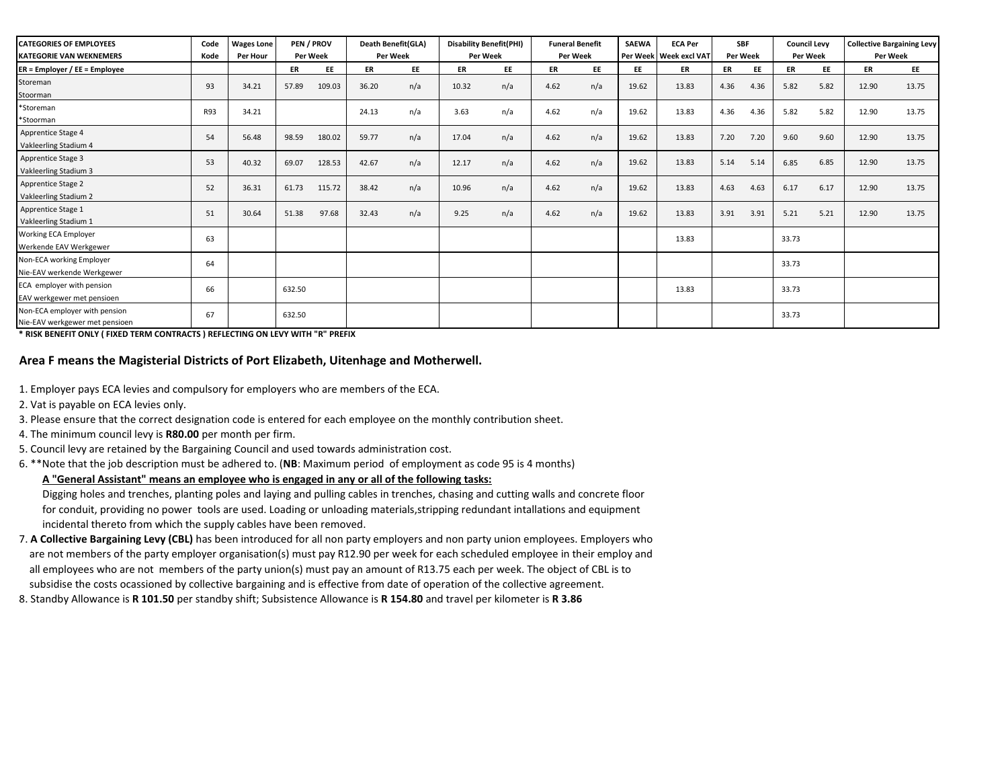| <b>CATEGORIES OF EMPLOYEES</b><br><b>KATEGORIE VAN WEKNEMERS</b> | Code<br>Kode | <b>Wages Lone</b><br>Per Hour |           | PEN / PROV<br><b>Per Week</b> | Death Benefit(GLA)<br>Per Week | <b>Disability Benefit(PHI)</b><br>Per Week |           |     | <b>Funeral Benefit</b><br>Per Week |           | <b>SAEWA</b> | <b>ECA Per</b><br>Per Week Week excl VAT | <b>SBF</b><br>Per Week |      | <b>Council Levy</b><br><b>Per Week</b> |           | <b>Collective Bargaining Levy</b><br>Per Week |       |
|------------------------------------------------------------------|--------------|-------------------------------|-----------|-------------------------------|--------------------------------|--------------------------------------------|-----------|-----|------------------------------------|-----------|--------------|------------------------------------------|------------------------|------|----------------------------------------|-----------|-----------------------------------------------|-------|
| ER = Employer / EE = Employee                                    |              |                               | <b>ER</b> | EE                            | ER                             | EE                                         | <b>ER</b> | EE  | ER                                 | <b>EE</b> | <b>EE</b>    | ER                                       | ER                     | EE   | ER                                     | <b>EE</b> | ER                                            | EE    |
| Storeman<br>Stoorman                                             | 93           | 34.21                         | 57.89     | 109.03                        | 36.20                          | n/a                                        | 10.32     | n/a | 4.62                               | n/a       | 19.62        | 13.83                                    | 4.36                   | 4.36 | 5.82                                   | 5.82      | 12.90                                         | 13.75 |
| *Storeman<br>*Stoorman                                           | <b>R93</b>   | 34.21                         |           |                               | 24.13                          | n/a                                        | 3.63      | n/a | 4.62                               | n/a       | 19.62        | 13.83                                    | 4.36                   | 4.36 | 5.82                                   | 5.82      | 12.90                                         | 13.75 |
| Apprentice Stage 4<br>Vakleerling Stadium 4                      | 54           | 56.48                         | 98.59     | 180.02                        | 59.77                          | n/a                                        | 17.04     | n/a | 4.62                               | n/a       | 19.62        | 13.83                                    | 7.20                   | 7.20 | 9.60                                   | 9.60      | 12.90                                         | 13.75 |
| Apprentice Stage 3<br>Vakleerling Stadium 3                      | 53           | 40.32                         | 69.07     | 128.53                        | 42.67                          | n/a                                        | 12.17     | n/a | 4.62                               | n/a       | 19.62        | 13.83                                    | 5.14                   | 5.14 | 6.85                                   | 6.85      | 12.90                                         | 13.75 |
| Apprentice Stage 2<br>Vakleerling Stadium 2                      | 52           | 36.31                         | 61.73     | 115.72                        | 38.42                          | n/a                                        | 10.96     | n/a | 4.62                               | n/a       | 19.62        | 13.83                                    | 4.63                   | 4.63 | 6.17                                   | 6.17      | 12.90                                         | 13.75 |
| Apprentice Stage 1<br>Vakleerling Stadium 1                      | 51           | 30.64                         | 51.38     | 97.68                         | 32.43                          | n/a                                        | 9.25      | n/a | 4.62                               | n/a       | 19.62        | 13.83                                    | 3.91                   | 3.91 | 5.21                                   | 5.21      | 12.90                                         | 13.75 |
| Working ECA Employer<br>Werkende EAV Werkgewer                   | 63           |                               |           |                               |                                |                                            |           |     |                                    |           |              | 13.83                                    |                        |      | 33.73                                  |           |                                               |       |
| Non-ECA working Employer<br>Nie-EAV werkende Werkgewer           | 64           |                               |           |                               |                                |                                            |           |     |                                    |           |              |                                          |                        |      | 33.73                                  |           |                                               |       |
| ECA employer with pension<br>EAV werkgewer met pensioen          | 66           |                               | 632.50    |                               |                                |                                            |           |     |                                    |           |              | 13.83                                    |                        |      | 33.73                                  |           |                                               |       |
| Non-ECA employer with pension<br>Nie-EAV werkgewer met pensioen  | 67           |                               | 632.50    |                               |                                |                                            |           |     |                                    |           |              |                                          |                        |      | 33.73                                  |           |                                               |       |

**\* RISK BENEFIT ONLY ( FIXED TERM CONTRACTS ) REFLECTING ON LEVY WITH "R" PREFIX** 

# **Area F means the Magisterial Districts of Port Elizabeth, Uitenhage and Motherwell.**

- 1. Employer pays ECA levies and compulsory for employers who are members of the ECA.
- 2. Vat is payable on ECA levies only.
- 3. Please ensure that the correct designation code is entered for each employee on the monthly contribution sheet.
- 4. The minimum council levy is **R80.00** per month per firm.
- 5. Council levy are retained by the Bargaining Council and used towards administration cost.
- 6. \*\*Note that the job description must be adhered to. (**NB**: Maximum period of employment as code 95 is 4 months)

# **A "General Assistant" means an employee who is engaged in any or all of the following tasks:**

 Digging holes and trenches, planting poles and laying and pulling cables in trenches, chasing and cutting walls and concrete floor for conduit, providing no power tools are used. Loading or unloading materials,stripping redundant intallations and equipment incidental thereto from which the supply cables have been removed.

- are not members of the party employer organisation(s) must pay R12.90 per week for each scheduled employee in their employ and all employees who are not members of the party union(s) must pay an amount of R13.75 each per week. The object of CBL is to subsidise the costs ocassioned by collective bargaining and is effective from date of operation of the collective agreement. 7. **A Collective Bargaining Levy (CBL)** has been introduced for all non party employers and non party union employees. Employers who
- 8. Standby Allowance is **R 101.50** per standby shift; Subsistence Allowance is **R 154.80** and travel per kilometer is **R 3.86**